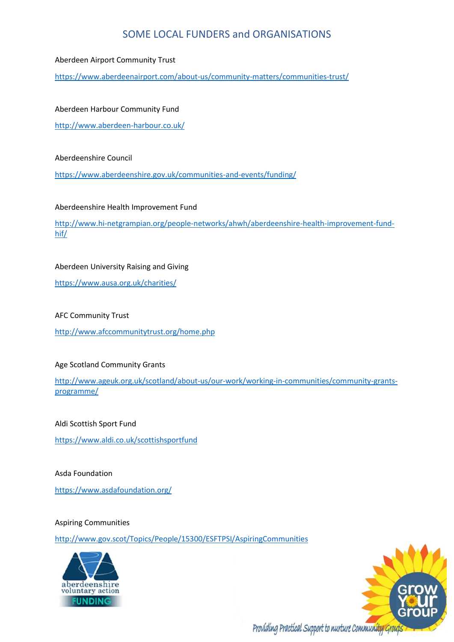#### Aberdeen Airport Community Trust

<https://www.aberdeenairport.com/about-us/community-matters/communities-trust/>

## Aberdeen Harbour Community Fund

<http://www.aberdeen-harbour.co.uk/>

#### Aberdeenshire Council

<https://www.aberdeenshire.gov.uk/communities-and-events/funding/>

## Aberdeenshire Health Improvement Fund

[http://www.hi-netgrampian.org/people-networks/ahwh/aberdeenshire-health-improvement-fund](http://www.hi-netgrampian.org/people-networks/ahwh/aberdeenshire-health-improvement-fund-hif/)[hif/](http://www.hi-netgrampian.org/people-networks/ahwh/aberdeenshire-health-improvement-fund-hif/)

## Aberdeen University Raising and Giving

<https://www.ausa.org.uk/charities/>

## AFC Community Trust

<http://www.afccommunitytrust.org/home.php>

## Age Scotland Community Grants

[http://www.ageuk.org.uk/scotland/about-us/our-work/working-in-communities/community-grants](http://www.ageuk.org.uk/scotland/about-us/our-work/working-in-communities/community-grants-programme/)[programme/](http://www.ageuk.org.uk/scotland/about-us/our-work/working-in-communities/community-grants-programme/)

#### Aldi Scottish Sport Fund

<https://www.aldi.co.uk/scottishsportfund>

## Asda Foundation

<https://www.asdafoundation.org/>

#### Aspiring Communities

<http://www.gov.scot/Topics/People/15300/ESFTPSI/AspiringCommunities>



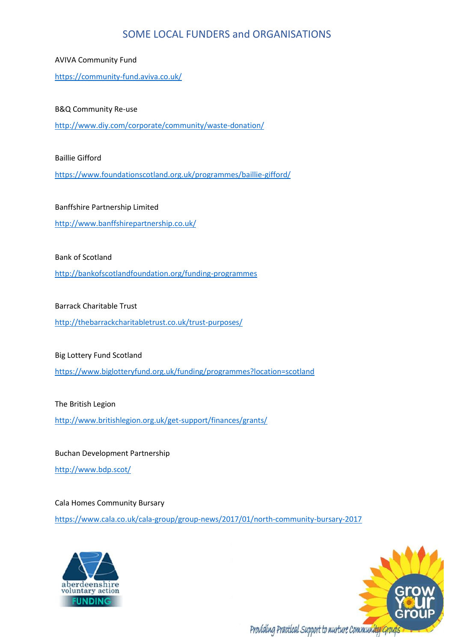AVIVA Community Fund

<https://community-fund.aviva.co.uk/>

## B&Q Community Re-use

<http://www.diy.com/corporate/community/waste-donation/>

Baillie Gifford

<https://www.foundationscotland.org.uk/programmes/baillie-gifford/>

Banffshire Partnership Limited

<http://www.banffshirepartnership.co.uk/>

Bank of Scotland

<http://bankofscotlandfoundation.org/funding-programmes>

Barrack Charitable Trust

<http://thebarrackcharitabletrust.co.uk/trust-purposes/>

Big Lottery Fund Scotland

<https://www.biglotteryfund.org.uk/funding/programmes?location=scotland>

The British Legion

<http://www.britishlegion.org.uk/get-support/finances/grants/>

Buchan Development Partnership

<http://www.bdp.scot/>

Cala Homes Community Bursary

<https://www.cala.co.uk/cala-group/group-news/2017/01/north-community-bursary-2017>



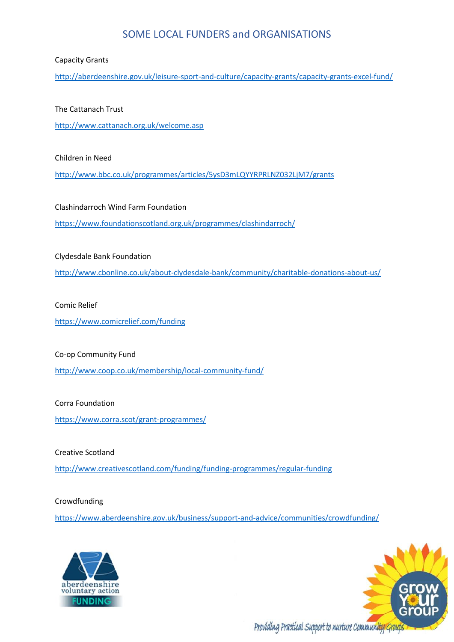## Capacity Grants

<http://aberdeenshire.gov.uk/leisure-sport-and-culture/capacity-grants/capacity-grants-excel-fund/>

## The Cattanach Trust

<http://www.cattanach.org.uk/welcome.asp>

Children in Need

<http://www.bbc.co.uk/programmes/articles/5ysD3mLQYYRPRLNZ032LjM7/grants>

Clashindarroch Wind Farm Foundation <https://www.foundationscotland.org.uk/programmes/clashindarroch/>

## Clydesdale Bank Foundation

<http://www.cbonline.co.uk/about-clydesdale-bank/community/charitable-donations-about-us/>

## Comic Relief

<https://www.comicrelief.com/funding>

## Co-op Community Fund

<http://www.coop.co.uk/membership/local-community-fund/>

## Corra Foundation

<https://www.corra.scot/grant-programmes/>

Creative Scotland <http://www.creativescotland.com/funding/funding-programmes/regular-funding>

Crowdfunding

<https://www.aberdeenshire.gov.uk/business/support-and-advice/communities/crowdfunding/>



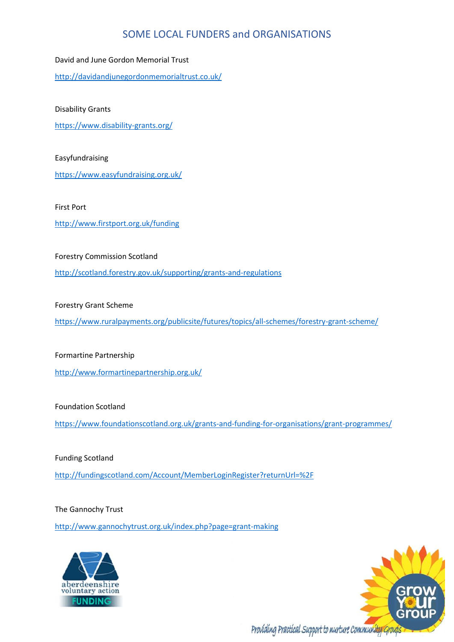David and June Gordon Memorial Trust

<http://davidandjunegordonmemorialtrust.co.uk/>

Disability Grants

<https://www.disability-grants.org/>

Easyfundraising

<https://www.easyfundraising.org.uk/>

First Port

<http://www.firstport.org.uk/funding>

Forestry Commission Scotland

<http://scotland.forestry.gov.uk/supporting/grants-and-regulations>

Forestry Grant Scheme

<https://www.ruralpayments.org/publicsite/futures/topics/all-schemes/forestry-grant-scheme/>

Formartine Partnership

<http://www.formartinepartnership.org.uk/>

Foundation Scotland

<https://www.foundationscotland.org.uk/grants-and-funding-for-organisations/grant-programmes/>

Funding Scotland

<http://fundingscotland.com/Account/MemberLoginRegister?returnUrl=%2F>

The Gannochy Trust

<http://www.gannochytrust.org.uk/index.php?page=grant-making>



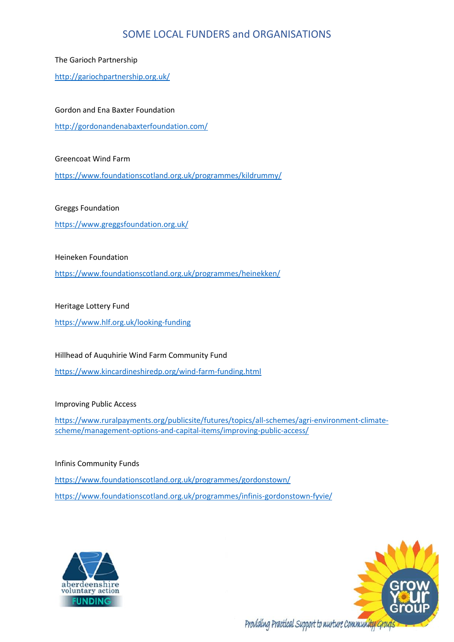The Garioch Partnership

<http://gariochpartnership.org.uk/>

Gordon and Ena Baxter Foundation

<http://gordonandenabaxterfoundation.com/>

Greencoat Wind Farm

<https://www.foundationscotland.org.uk/programmes/kildrummy/>

Greggs Foundation

<https://www.greggsfoundation.org.uk/>

## Heineken Foundation

<https://www.foundationscotland.org.uk/programmes/heinekken/>

## Heritage Lottery Fund

<https://www.hlf.org.uk/looking-funding>

Hillhead of Auquhirie Wind Farm Community Fund

<https://www.kincardineshiredp.org/wind-farm-funding.html>

## Improving Public Access

[https://www.ruralpayments.org/publicsite/futures/topics/all-schemes/agri-environment-climate](https://www.ruralpayments.org/publicsite/futures/topics/all-schemes/agri-environment-climate-scheme/management-options-and-capital-items/improving-public-access/)[scheme/management-options-and-capital-items/improving-public-access/](https://www.ruralpayments.org/publicsite/futures/topics/all-schemes/agri-environment-climate-scheme/management-options-and-capital-items/improving-public-access/)

## Infinis Community Funds

<https://www.foundationscotland.org.uk/programmes/gordonstown/> <https://www.foundationscotland.org.uk/programmes/infinis-gordonstown-fyvie/>



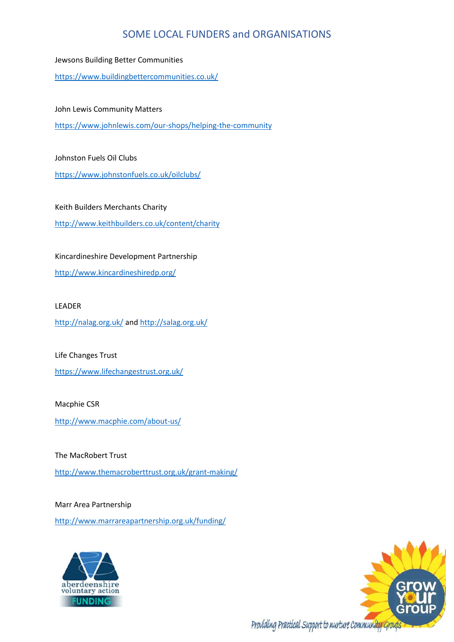Jewsons Building Better Communities

<https://www.buildingbettercommunities.co.uk/>

## John Lewis Community Matters

<https://www.johnlewis.com/our-shops/helping-the-community>

#### Johnston Fuels Oil Clubs

<https://www.johnstonfuels.co.uk/oilclubs/>

Keith Builders Merchants Charity

<http://www.keithbuilders.co.uk/content/charity>

## Kincardineshire Development Partnership

<http://www.kincardineshiredp.org/>

#### LEADER

<http://nalag.org.uk/> an[d http://salag.org.uk/](http://salag.org.uk/)

Life Changes Trust

<https://www.lifechangestrust.org.uk/>

#### Macphie CSR

<http://www.macphie.com/about-us/>

The MacRobert Trust <http://www.themacroberttrust.org.uk/grant-making/>

Marr Area Partnership

<http://www.marrareapartnership.org.uk/funding/>



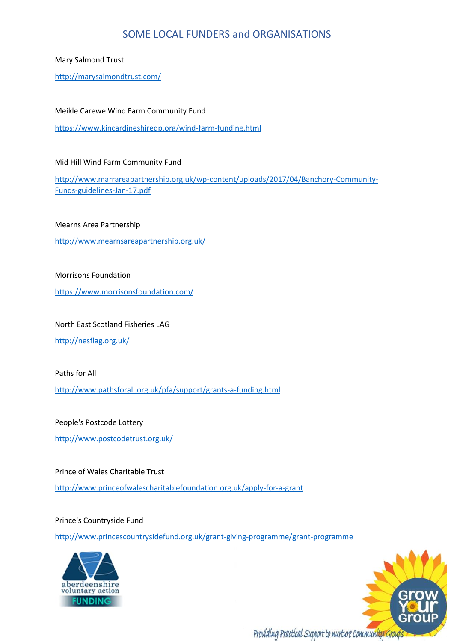Mary Salmond Trust

<http://marysalmondtrust.com/>

Meikle Carewe Wind Farm Community Fund

<https://www.kincardineshiredp.org/wind-farm-funding.html>

Mid Hill Wind Farm Community Fund

[http://www.marrareapartnership.org.uk/wp-content/uploads/2017/04/Banchory-Community-](http://www.marrareapartnership.org.uk/wp-content/uploads/2017/04/Banchory-Community-Funds-guidelines-Jan-17.pdf)[Funds-guidelines-Jan-17.pdf](http://www.marrareapartnership.org.uk/wp-content/uploads/2017/04/Banchory-Community-Funds-guidelines-Jan-17.pdf)

Mearns Area Partnership

<http://www.mearnsareapartnership.org.uk/>

Morrisons Foundation

<https://www.morrisonsfoundation.com/>

North East Scotland Fisheries LAG

<http://nesflag.org.uk/>

Paths for All

<http://www.pathsforall.org.uk/pfa/support/grants-a-funding.html>

People's Postcode Lottery

<http://www.postcodetrust.org.uk/>

Prince of Wales Charitable Trust <http://www.princeofwalescharitablefoundation.org.uk/apply-for-a-grant>

Prince's Countryside Fund

<http://www.princescountrysidefund.org.uk/grant-giving-programme/grant-programme>



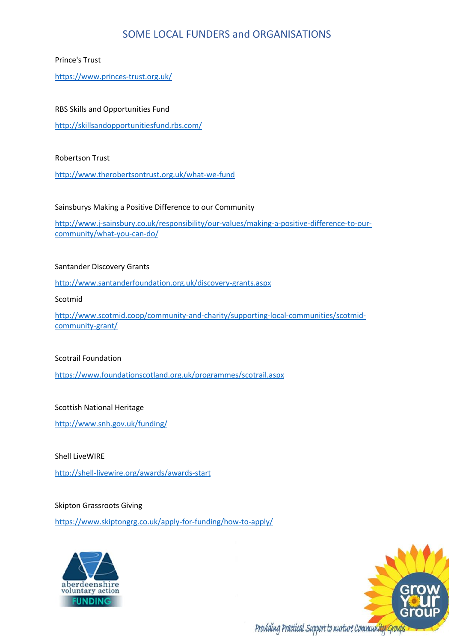## Prince's Trust

<https://www.princes-trust.org.uk/>

## RBS Skills and Opportunities Fund

<http://skillsandopportunitiesfund.rbs.com/>

#### Robertson Trust

<http://www.therobertsontrust.org.uk/what-we-fund>

#### Sainsburys Making a Positive Difference to our Community

[http://www.j-sainsbury.co.uk/responsibility/our-values/making-a-positive-difference-to-our](http://www.j-sainsbury.co.uk/responsibility/our-values/making-a-positive-difference-to-our-community/what-you-can-do/)[community/what-you-can-do/](http://www.j-sainsbury.co.uk/responsibility/our-values/making-a-positive-difference-to-our-community/what-you-can-do/)

## Santander Discovery Grants

<http://www.santanderfoundation.org.uk/discovery-grants.aspx>

Scotmid

[http://www.scotmid.coop/community-and-charity/supporting-local-communities/scotmid](http://www.scotmid.coop/community-and-charity/supporting-local-communities/scotmid-community-grant/)[community-grant/](http://www.scotmid.coop/community-and-charity/supporting-local-communities/scotmid-community-grant/)

## Scotrail Foundation

<https://www.foundationscotland.org.uk/programmes/scotrail.aspx>

## Scottish National Heritage

<http://www.snh.gov.uk/funding/>

Shell LiveWIRE

<http://shell-livewire.org/awards/awards-start>

#### Skipton Grassroots Giving

<https://www.skiptongrg.co.uk/apply-for-funding/how-to-apply/>



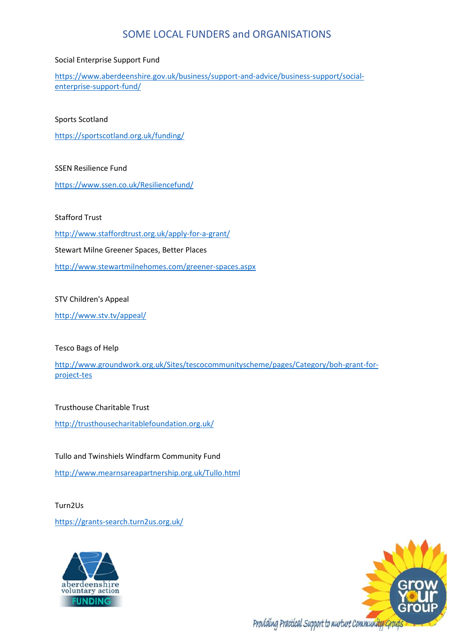## Social Enterprise Support Fund

[https://www.aberdeenshire.gov.uk/business/support-and-advice/business-support/social](https://www.aberdeenshire.gov.uk/business/support-and-advice/business-support/social-enterprise-support-fund/)[enterprise-support-fund/](https://www.aberdeenshire.gov.uk/business/support-and-advice/business-support/social-enterprise-support-fund/)

#### Sports Scotland

<https://sportscotland.org.uk/funding/>

## SSEN Resilience Fund

<https://www.ssen.co.uk/Resiliencefund/>

## Stafford Trust

<http://www.staffordtrust.org.uk/apply-for-a-grant/> Stewart Milne Greener Spaces, Better Places <http://www.stewartmilnehomes.com/greener-spaces.aspx>

## STV Children's Appeal

<http://www.stv.tv/appeal/>

## Tesco Bags of Help

[http://www.groundwork.org.uk/Sites/tescocommunityscheme/pages/Category/boh-grant-for](http://www.groundwork.org.uk/Sites/tescocommunityscheme/pages/Category/boh-grant-for-project-tes)[project-tes](http://www.groundwork.org.uk/Sites/tescocommunityscheme/pages/Category/boh-grant-for-project-tes)

## Trusthouse Charitable Trust

<http://trusthousecharitablefoundation.org.uk/>

Tullo and Twinshiels Windfarm Community Fund

<http://www.mearnsareapartnership.org.uk/Tullo.html>

# Turn2Us <https://grants-search.turn2us.org.uk/>